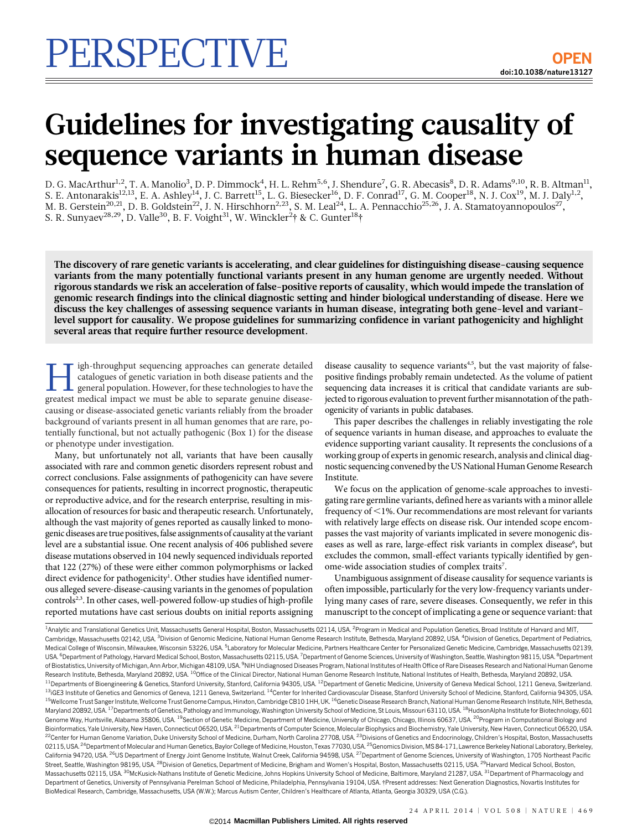# Guidelines for investigating causality of sequence variants in human disease

D. G. MacArthur $^{1,2}$ , T. A. Manolio $^3$ , D. P. Dimmock $^4$ , H. L. Rehm $^{5,6}$ , J. Shendure $^7$ , G. R. Abecasis $^8$ , D. R. Adams $^{9,10}$ , R. B. Altman $^{11}$ , S. E. Antonarakis $^{12,13}$ , E. A. Ashley $^{14}$ , J. C. Barrett $^{15}$ , L. G. Biesecker $^{16}$ , D. F. Conrad $^{17}$ , G. M. Cooper $^{18}$ , N. J. Cox $^{19}$ , M. J. Daly $^{1,2}$ , M. B. Gerstein<sup>20,21</sup>, D. B. Goldstein<sup>22</sup>, J. N. Hirschhorn<sup>2,23</sup>, S. M. Leal<sup>24</sup>, L. A. Pennacchio<sup>25,26</sup>, J. A. Stamatoyannopoulos<sup>27</sup>, S. R. Sunyaev<sup>28,29</sup>, D. Valle<sup>30</sup>, B. F. Voight<sup>31</sup>, W. Winckler<sup>2</sup>† & C. Gunter<sup>18</sup>†

The discovery of rare genetic variants is accelerating, and clear guidelines for distinguishing disease-causing sequence variants from the many potentially functional variants present in any human genome are urgently needed. Without rigorous standards we risk an acceleration of false-positive reports of causality, which would impede the translation of genomic research findings into the clinical diagnostic setting and hinder biological understanding of disease. Here we discuss the key challenges of assessing sequence variants in human disease, integrating both gene-level and variantlevel support for causality. We propose guidelines for summarizing confidence in variant pathogenicity and highlight several areas that require further resource development.

I gh-throughput sequencing approaches can generate detailed<br>catalogues of genetic variation in both disease patients and the<br>general population. However, for these technologies to have the<br>greatest medical impact we must b catalogues of genetic variation in both disease patients and the greatest medical impact we must be able to separate genuine diseasecausing or disease-associated genetic variants reliably from the broader background of variants present in all human genomes that are rare, potentially functional, but not actually pathogenic (Box 1) for the disease or phenotype under investigation.

Many, but unfortunately not all, variants that have been causally associated with rare and common genetic disorders represent robust and correct conclusions. False assignments of pathogenicity can have severe consequences for patients, resulting in incorrect prognostic, therapeutic or reproductive advice, and for the research enterprise, resulting in misallocation of resources for basic and therapeutic research. Unfortunately, although the vast majority of genes reported as causally linked to monogenic diseases are true positives,false assignments of causality at the variant level are a substantial issue. One recent analysis of 406 published severe disease mutations observed in 104 newly sequenced individuals reported that 122 (27%) of these were either common polymorphisms or lacked direct evidence for pathogenicity<sup>1</sup>. Other studies have identified numerous alleged severe-disease-causing variants in the genomes of population controls<sup>2,3</sup>. In other cases, well-powered follow-up studies of high-profile reported mutations have cast serious doubts on initial reports assigning

disease causality to sequence variants<sup>4,5</sup>, but the vast majority of falsepositive findings probably remain undetected. As the volume of patient sequencing data increases it is critical that candidate variants are subjected to rigorous evaluation to prevent further misannotation of the pathogenicity of variants in public databases.

This paper describes the challenges in reliably investigating the role of sequence variants in human disease, and approaches to evaluate the evidence supporting variant causality. It represents the conclusions of a working group of experts in genomic research, analysis and clinical diagnostic sequencing convened by the US National Human Genome Research Institute.

We focus on the application of genome-scale approaches to investigating rare germline variants, defined here as variants with a minor allele frequency of  $<$  1%. Our recommendations are most relevant for variants with relatively large effects on disease risk. Our intended scope encompasses the vast majority of variants implicated in severe monogenic diseases as well as rare, large-effect risk variants in complex disease<sup>6</sup>, but excludes the common, small-effect variants typically identified by genome-wide association studies of complex traits<sup>7</sup>.

Unambiguous assignment of disease causality for sequence variants is often impossible, particularly for the very low-frequency variants underlying many cases of rare, severe diseases. Consequently, we refer in this manuscript to the concept of implicating a gene or sequence variant: that

<sup>1</sup>Analytic and Translational Genetics Unit, Massachusetts General Hospital, Boston, Massachusetts 02114, USA. <sup>2</sup>Program in Medical and Population Genetics, Broad Institute of Harvard and MIT Cambridge, Massachusetts 02142, USA. <sup>3</sup>Division of Genomic Medicine, National Human Genome Research Institute, Bethesda, Maryland 20892, USA. <sup>4</sup>Division of Genetics, Department of Pediatrics Medical College of Wisconsin, Milwaukee, Wisconsin 53226, USA. <sup>5</sup>Laboratory for Molecular Medicine, Partners Healthcare Center for Personalized Genetic Medicine, Cambridge, Massachusetts 02139, USA. <sup>6</sup>Department of Pathology, Harvard Medical School, Boston, Massachusetts 02115, USA. <sup>7</sup>Department of Genome Sciences, University of Washington, Seattle, Washington 98115, USA. <sup>8</sup>Department of Biostatistics, University of Michigan, Ann Arbor, Michigan 48109, USA. <sup>9</sup>NIH Undiagnosed Diseases Program, National Institutes of Health Office of Rare Diseases Research and National Human Genome Research Institute, Bethesda, Maryland 20892, USA. <sup>10</sup>Office of the Clinical Director, National Human Genome Research Institute, National Institutes of Health, Bethesda, Maryland 20892, USA. <sup>11</sup>Departments of Bioengineering & Genetics, Stanford University, Stanford, California 94305, USA. <sup>12</sup>Department of Genetic Medicine, University of Geneva Medical School, 1211 Geneva, Switzerland. <sup>13</sup>iGE3 Institute of Genetics and Genomics of Geneva, 1211 Geneva, Switzerland. <sup>14</sup>Center for Inherited Cardiovascular Disease, Stanford University School of Medicine, Stanford, California 94305, USA. <sup>15</sup>Wellcome Trust Sanger Institute, Wellcome Trust Genome Campus, Hinxton, Cambridge CB10 1HH, UK. <sup>16</sup>Genetic Disease Research Branch, National Human Genome Research Institute, NIH, Bethesda, Maryland 20892, USA. <sup>17</sup>Departments of Genetics, Pathology and Immunology, Washington University School of Medicine, St Louis, Missouri 63110, USA. <sup>18</sup>HudsonAlpha Institute for Biotechnology, 601 Genome Way, Huntsville, Alabama 35806, USA. <sup>19</sup>Section of Genetic Medicine, Department of Medicine, University of Chicago, Chicago, Illinois 60637, USA. <sup>20</sup>Program in Computational Biology and Bioinformatics, Yale University, New Haven, Connecticut 06520, USA. <sup>21</sup>Departments of Computer Science, Molecular Biophysics and Biochemistry, Yale University, New Haven, Connecticut 06520, USA. <sup>22</sup>Center for Human Genome Variation, Duke University School of Medicine, Durham, North Carolina 27708, USA. <sup>23</sup>Divisions of Genetics and Endocrinology, Children's Hospital, Boston, Massachusetts 02115, USA. <sup>24</sup>Department of Molecular and Human Genetics, Baylor College of Medicine, Houston, Texas 77030, USA. <sup>25</sup>Genomics Division, MS 84-171, Lawrence Berkeley National Laboratory, Berkeley, California 94720, USA. <sup>26</sup>US Department of Energy Joint Genome Institute, Walnut Creek, California 94598, USA. <sup>27</sup>Department of Genome Sciences, University of Washington, 1705 Northeast Pacific Street, Seattle, Washington 98195, USA. <sup>28</sup>Division of Genetics, Department of Medicine, Brigham and Women's Hospital, Boston, Massachusetts 02115, USA. <sup>29</sup>Harvard Medical School, Boston, Massachusetts 02115, USA. <sup>30</sup>McKusick-Nathans Institute of Genetic Medicine, Johns Hopkins University School of Medicine, Baltimore, Maryland 21287, USA. <sup>31</sup>Department of Pharmacology and Department of Genetics, University of Pennsylvania Perelman School of Medicine, Philadelphia, Pennsylvania 19104, USA. {Present addresses: Next Generation Diagnostics, Novartis Institutes for BioMedical Research, Cambridge, Massachusetts, USA (W.W.); Marcus Autism Center, Children's Healthcare of Atlanta, Atlanta, Georgia 30329, USA (C.G.).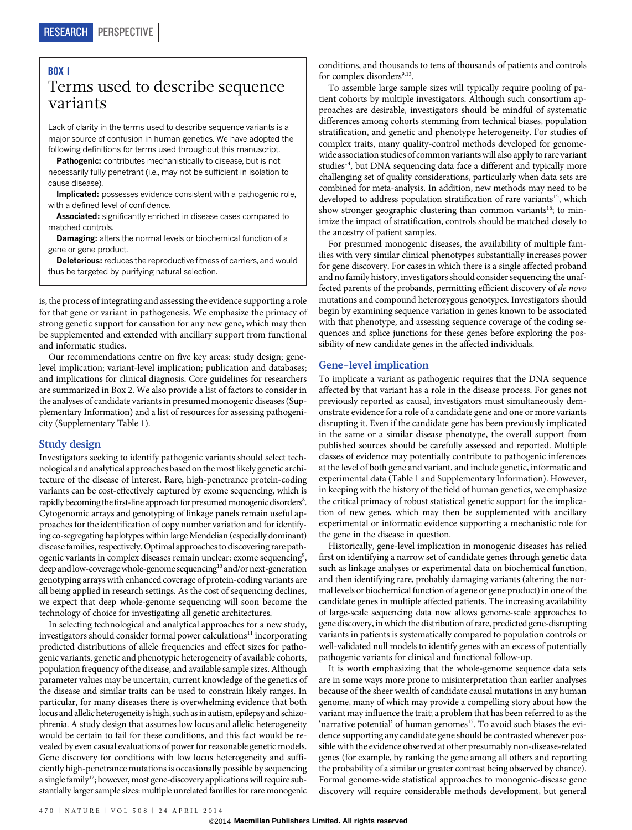# BOX 1 Terms used to describe sequence variants

Lack of clarity in the terms used to describe sequence variants is a major source of confusion in human genetics. We have adopted the following definitions for terms used throughout this manuscript.

Pathogenic: contributes mechanistically to disease, but is not necessarily fully penetrant (i.e., may not be sufficient in isolation to cause disease).

Implicated: possesses evidence consistent with a pathogenic role, with a defined level of confidence.

Associated: significantly enriched in disease cases compared to matched controls.

Damaging: alters the normal levels or biochemical function of a gene or gene product.

Deleterious: reduces the reproductive fitness of carriers, and would thus be targeted by purifying natural selection.

is, the process of integrating and assessing the evidence supporting a role for that gene or variant in pathogenesis. We emphasize the primacy of strong genetic support for causation for any new gene, which may then be supplemented and extended with ancillary support from functional and informatic studies.

Our recommendations centre on five key areas: study design; genelevel implication; variant-level implication; publication and databases; and implications for clinical diagnosis. Core guidelines for researchers are summarized in Box 2. We also provide a list of factors to consider in the analyses of candidate variants in presumed monogenic diseases (Supplementary Information) and a list of resources for assessing pathogenicity (Supplementary Table 1).

#### Study design

Investigators seeking to identify pathogenic variants should select technological and analytical approaches based on the most likely genetic architecture of the disease of interest. Rare, high-penetrance protein-coding variants can be cost-effectively captured by exome sequencing, which is rapidly becoming the first-line approach for presumed monogenic disorders<sup>8</sup>. Cytogenomic arrays and genotyping of linkage panels remain useful approaches for the identification of copy number variation and for identifying co-segregating haplotypes within large Mendelian (especially dominant) disease families, respectively. Optimal approaches to discovering rare pathogenic variants in complex diseases remain unclear: exome sequencing<sup>9</sup>, deep and low-coverage whole-genome sequencing<sup>10</sup> and/or next-generation genotyping arrays with enhanced coverage of protein-coding variants are all being applied in research settings. As the cost of sequencing declines, we expect that deep whole-genome sequencing will soon become the technology of choice for investigating all genetic architectures.

In selecting technological and analytical approaches for a new study, investigators should consider formal power calculations $11$  incorporating predicted distributions of allele frequencies and effect sizes for pathogenic variants, genetic and phenotypic heterogeneity of available cohorts, population frequency of the disease, and available sample sizes. Although parameter values may be uncertain, current knowledge of the genetics of the disease and similar traits can be used to constrain likely ranges. In particular, for many diseases there is overwhelming evidence that both locus and allelic heterogeneity is high, such as in autism, epilepsy and schizophrenia. A study design that assumes low locus and allelic heterogeneity would be certain to fail for these conditions, and this fact would be revealed by even casual evaluations of power for reasonable genetic models. Gene discovery for conditions with low locus heterogeneity and sufficiently high-penetrance mutations is occasionally possible by sequencing a single family<sup>12</sup>; however, most gene-discovery applications will require substantially larger sample sizes: multiple unrelated families for rare monogenic

conditions, and thousands to tens of thousands of patients and controls for complex disorders<sup>9,13</sup>.

To assemble large sample sizes will typically require pooling of patient cohorts by multiple investigators. Although such consortium approaches are desirable, investigators should be mindful of systematic differences among cohorts stemming from technical biases, population stratification, and genetic and phenotype heterogeneity. For studies of complex traits, many quality-control methods developed for genomewide association studies of common variantswill also apply to rare variant studies<sup>14</sup>, but DNA sequencing data face a different and typically more challenging set of quality considerations, particularly when data sets are combined for meta-analysis. In addition, new methods may need to be developed to address population stratification of rare variants<sup>15</sup>, which show stronger geographic clustering than common variants<sup>16</sup>; to minimize the impact of stratification, controls should be matched closely to the ancestry of patient samples.

For presumed monogenic diseases, the availability of multiple families with very similar clinical phenotypes substantially increases power for gene discovery. For cases in which there is a single affected proband and no family history, investigators should consider sequencing the unaffected parents of the probands, permitting efficient discovery of de novo mutations and compound heterozygous genotypes. Investigators should begin by examining sequence variation in genes known to be associated with that phenotype, and assessing sequence coverage of the coding sequences and splice junctions for these genes before exploring the possibility of new candidate genes in the affected individuals.

#### Gene-level implication

To implicate a variant as pathogenic requires that the DNA sequence affected by that variant has a role in the disease process. For genes not previously reported as causal, investigators must simultaneously demonstrate evidence for a role of a candidate gene and one or more variants disrupting it. Even if the candidate gene has been previously implicated in the same or a similar disease phenotype, the overall support from published sources should be carefully assessed and reported. Multiple classes of evidence may potentially contribute to pathogenic inferences at the level of both gene and variant, and include genetic, informatic and experimental data (Table 1 and Supplementary Information). However, in keeping with the history of the field of human genetics, we emphasize the critical primacy of robust statistical genetic support for the implication of new genes, which may then be supplemented with ancillary experimental or informatic evidence supporting a mechanistic role for the gene in the disease in question.

Historically, gene-level implication in monogenic diseases has relied first on identifying a narrow set of candidate genes through genetic data such as linkage analyses or experimental data on biochemical function, and then identifying rare, probably damaging variants (altering the normal levels or biochemical function of a gene or gene product) in one of the candidate genes in multiple affected patients. The increasing availability of large-scale sequencing data now allows genome-scale approaches to gene discovery, in which the distribution of rare, predicted gene-disrupting variants in patients is systematically compared to population controls or well-validated null models to identify genes with an excess of potentially pathogenic variants for clinical and functional follow-up.

It is worth emphasizing that the whole-genome sequence data sets are in some ways more prone to misinterpretation than earlier analyses because of the sheer wealth of candidate causal mutations in any human genome, many of which may provide a compelling story about how the variant may influence the trait; a problem that has been referred to as the 'narrative potential' of human genomes<sup>17</sup>. To avoid such biases the evidence supporting any candidate gene should be contrasted wherever possible with the evidence observed at other presumably non-disease-related genes (for example, by ranking the gene among all others and reporting the probability of a similar or greater contrast being observed by chance). Formal genome-wide statistical approaches to monogenic-disease gene discovery will require considerable methods development, but general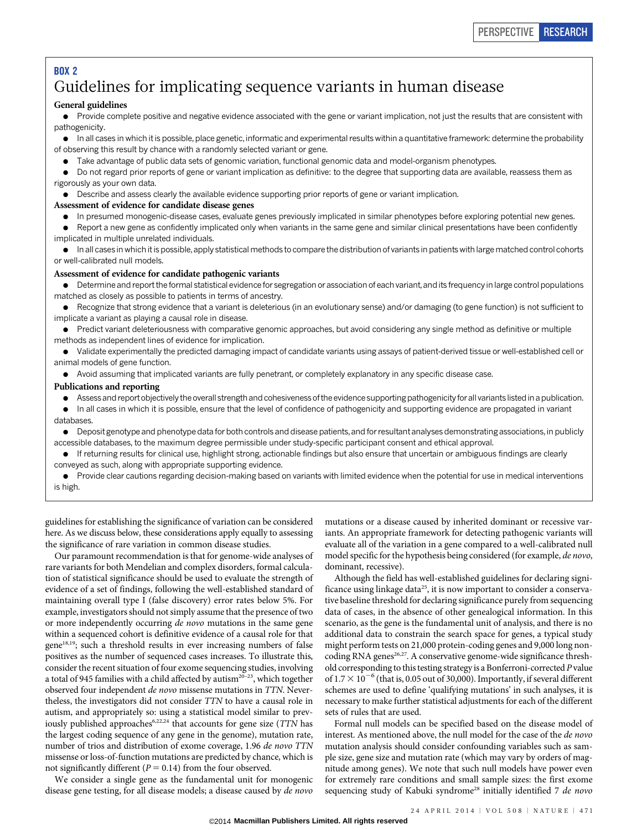### BOX 2

# Guidelines for implicating sequence variants in human disease

#### General guidelines

• Provide complete positive and negative evidence associated with the gene or variant implication, not just the results that are consistent with pathogenicity.

 $\bullet$  In all cases in which it is possible, place genetic, informatic and experimental results within a quantitative framework: determine the probability of observing this result by chance with a randomly selected variant or gene.

 $\bullet$  Take advantage of public data sets of genomic variation, functional genomic data and model-organism phenotypes.

Do not regard prior reports of gene or variant implication as definitive: to the degree that supporting data are available, reassess them as rigorously as your own data.

 $\bullet$  Describe and assess clearly the available evidence supporting prior reports of gene or variant implication.

#### Assessment of evidence for candidate disease genes

 $\bullet$  In presumed monogenic-disease cases, evaluate genes previously implicated in similar phenotypes before exploring potential new genes.

Report a new gene as confidently implicated only when variants in the same gene and similar clinical presentations have been confidently implicated in multiple unrelated individuals.

 $\bullet$  In all cases in which it is possible, apply statistical methods to compare the distribution of variants in patients with large matched control cohorts or well-calibrated null models.

#### Assessment of evidence for candidate pathogenic variants

 $\bullet$  Determine and report the formal statistical evidence for segregation or association of each variant, and its frequency in large control populations matched as closely as possible to patients in terms of ancestry.

• Recognize that strong evidence that a variant is deleterious (in an evolutionary sense) and/or damaging (to gene function) is not sufficient to implicate a variant as playing a causal role in disease.

• Predict variant deleteriousness with comparative genomic approaches, but avoid considering any single method as definitive or multiple methods as independent lines of evidence for implication.

• Validate experimentally the predicted damaging impact of candidate variants using assays of patient-derived tissue or well-established cell or animal models of gene function.

 $\bullet$  Avoid assuming that implicated variants are fully penetrant, or completely explanatory in any specific disease case.

#### Publications and reporting

Assess and report objectively the overall strength and cohesiveness of the evidence supporting pathogenicity for all variants listed in a publication.

In all cases in which it is possible, ensure that the level of confidence of pathogenicity and supporting evidence are propagated in variant databases.

Deposit genotype and phenotype data for both controls and disease patients, and for resultant analyses demonstrating associations, in publicly accessible databases, to the maximum degree permissible under study-specific participant consent and ethical approval.

\$ If returning results for clinical use, highlight strong, actionable findings but also ensure that uncertain or ambiguous findings are clearly conveyed as such, along with appropriate supporting evidence.

Provide clear cautions regarding decision-making based on variants with limited evidence when the potential for use in medical interventions is high.

guidelines for establishing the significance of variation can be considered here. As we discuss below, these considerations apply equally to assessing the significance of rare variation in common disease studies.

Our paramount recommendation is that for genome-wide analyses of rare variants for both Mendelian and complex disorders, formal calculation of statistical significance should be used to evaluate the strength of evidence of a set of findings, following the well-established standard of maintaining overall type I (false discovery) error rates below 5%. For example, investigators should not simply assume that the presence of two or more independently occurring de novo mutations in the same gene within a sequenced cohort is definitive evidence of a causal role for that gene<sup>18,19</sup>; such a threshold results in ever increasing numbers of false positives as the number of sequenced cases increases. To illustrate this, consider the recent situation of four exome sequencing studies, involving a total of 945 families with a child affected by autism<sup>20-23</sup>, which together observed four independent de novo missense mutations in TTN. Nevertheless, the investigators did not consider TTN to have a causal role in autism, and appropriately so: using a statistical model similar to previously published approaches<sup>6,22,24</sup> that accounts for gene size (TTN has the largest coding sequence of any gene in the genome), mutation rate, number of trios and distribution of exome coverage, 1.96 de novo TTN missense or loss-of-function mutations are predicted by chance, which is not significantly different ( $P = 0.14$ ) from the four observed.

We consider a single gene as the fundamental unit for monogenic disease gene testing, for all disease models; a disease caused by de novo mutations or a disease caused by inherited dominant or recessive variants. An appropriate framework for detecting pathogenic variants will evaluate all of the variation in a gene compared to a well-calibrated null model specific for the hypothesis being considered (for example, de novo, dominant, recessive).

Although the field has well-established guidelines for declaring significance using linkage data<sup>25</sup>, it is now important to consider a conservative baseline threshold for declaring significance purely from sequencing data of cases, in the absence of other genealogical information. In this scenario, as the gene is the fundamental unit of analysis, and there is no additional data to constrain the search space for genes, a typical study might perform tests on 21,000 protein-coding genes and 9,000 long noncoding RNA genes<sup>26,27</sup>. A conservative genome-wide significance threshold corresponding to this testing strategy is a Bonferroni-corrected P value of  $1.7 \times 10^{-6}$  (that is, 0.05 out of 30,000). Importantly, if several different schemes are used to define 'qualifying mutations' in such analyses, it is necessary to make further statistical adjustments for each of the different sets of rules that are used.

Formal null models can be specified based on the disease model of interest. As mentioned above, the null model for the case of the de novo mutation analysis should consider confounding variables such as sample size, gene size and mutation rate (which may vary by orders of magnitude among genes). We note that such null models have power even for extremely rare conditions and small sample sizes: the first exome sequencing study of Kabuki syndrome<sup>28</sup> initially identified 7 de novo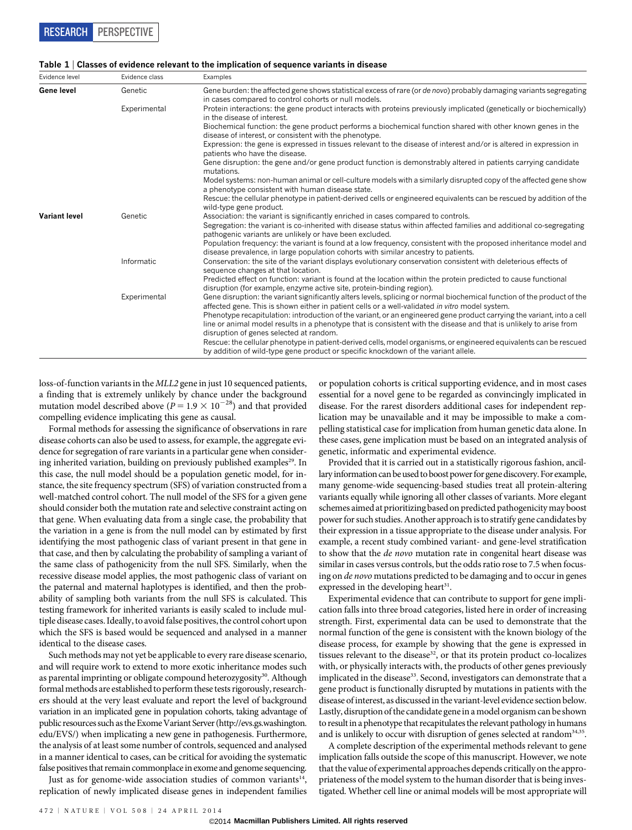#### Table 1 <sup>|</sup> Classes of evidence relevant to the implication of sequence variants in disease

| Evidence level       | Evidence class | Examples                                                                                                                                                                                                                                                                                |
|----------------------|----------------|-----------------------------------------------------------------------------------------------------------------------------------------------------------------------------------------------------------------------------------------------------------------------------------------|
| Gene level           | Genetic        | Gene burden: the affected gene shows statistical excess of rare (or de novo) probably damaging variants segregating<br>in cases compared to control cohorts or null models.                                                                                                             |
|                      | Experimental   | Protein interactions: the gene product interacts with proteins previously implicated (genetically or biochemically)<br>in the disease of interest.                                                                                                                                      |
|                      |                | Biochemical function: the gene product performs a biochemical function shared with other known genes in the<br>disease of interest, or consistent with the phenotype.                                                                                                                   |
|                      |                | Expression: the gene is expressed in tissues relevant to the disease of interest and/or is altered in expression in<br>patients who have the disease.                                                                                                                                   |
|                      |                | Gene disruption: the gene and/or gene product function is demonstrably altered in patients carrying candidate<br>mutations.                                                                                                                                                             |
|                      |                | Model systems: non-human animal or cell-culture models with a similarly disrupted copy of the affected gene show<br>a phenotype consistent with human disease state.                                                                                                                    |
|                      |                | Rescue: the cellular phenotype in patient-derived cells or engineered equivalents can be rescued by addition of the<br>wild-type gene product.                                                                                                                                          |
| <b>Variant level</b> | Genetic        | Association: the variant is significantly enriched in cases compared to controls.                                                                                                                                                                                                       |
|                      |                | Segregation: the variant is co-inherited with disease status within affected families and additional co-segregating<br>pathogenic variants are unlikely or have been excluded.                                                                                                          |
|                      |                | Population frequency: the variant is found at a low frequency, consistent with the proposed inheritance model and<br>disease prevalence, in large population cohorts with similar ancestry to patients.                                                                                 |
|                      | Informatic     | Conservation: the site of the variant displays evolutionary conservation consistent with deleterious effects of<br>sequence changes at that location.                                                                                                                                   |
|                      |                | Predicted effect on function: variant is found at the location within the protein predicted to cause functional<br>disruption (for example, enzyme active site, protein-binding region).                                                                                                |
|                      | Experimental   | Gene disruption: the variant significantly alters levels, splicing or normal biochemical function of the product of the<br>affected gene. This is shown either in patient cells or a well-validated in vitro model system.                                                              |
|                      |                | Phenotype recapitulation: introduction of the variant, or an engineered gene product carrying the variant, into a cell<br>line or animal model results in a phenotype that is consistent with the disease and that is unlikely to arise from<br>disruption of genes selected at random. |
|                      |                | Rescue: the cellular phenotype in patient-derived cells, model organisms, or engineered equivalents can be rescued<br>by addition of wild-type gene product or specific knockdown of the variant allele.                                                                                |

loss-of-function variants in the MLL2 gene in just 10 sequenced patients, a finding that is extremely unlikely by chance under the background mutation model described above ( $P = 1.9 \times 10^{-28}$ ) and that provided compelling evidence implicating this gene as causal.

Formal methods for assessing the significance of observations in rare disease cohorts can also be used to assess, for example, the aggregate evidence for segregation of rare variants in a particular gene when considering inherited variation, building on previously published examples<sup>29</sup>. In this case, the null model should be a population genetic model, for instance, the site frequency spectrum (SFS) of variation constructed from a well-matched control cohort. The null model of the SFS for a given gene should consider both the mutation rate and selective constraint acting on that gene. When evaluating data from a single case, the probability that the variation in a gene is from the null model can by estimated by first identifying the most pathogenic class of variant present in that gene in that case, and then by calculating the probability of sampling a variant of the same class of pathogenicity from the null SFS. Similarly, when the recessive disease model applies, the most pathogenic class of variant on the paternal and maternal haplotypes is identified, and then the probability of sampling both variants from the null SFS is calculated. This testing framework for inherited variants is easily scaled to include multiple disease cases. Ideally, to avoid false positives, the control cohort upon which the SFS is based would be sequenced and analysed in a manner identical to the disease cases.

Such methods may not yet be applicable to every rare disease scenario, and will require work to extend to more exotic inheritance modes such as parental imprinting or obligate compound heterozygosity<sup>30</sup>. Although formal methods are established to perform these tests rigorously, researchers should at the very least evaluate and report the level of background variation in an implicated gene in population cohorts, taking advantage of public resources such as the Exome Variant Server [\(http://evs.gs.washington.](http://evs.gs.washington.edu/EVS) [edu/EVS/](http://evs.gs.washington.edu/EVS)) when implicating a new gene in pathogenesis. Furthermore, the analysis of at least some number of controls, sequenced and analysed in a manner identical to cases, can be critical for avoiding the systematic false positives that remain commonplace in exome and genome sequencing.

Just as for genome-wide association studies of common variants $14$ , replication of newly implicated disease genes in independent families or population cohorts is critical supporting evidence, and in most cases essential for a novel gene to be regarded as convincingly implicated in disease. For the rarest disorders additional cases for independent replication may be unavailable and it may be impossible to make a compelling statistical case for implication from human genetic data alone. In these cases, gene implication must be based on an integrated analysis of genetic, informatic and experimental evidence.

Provided that it is carried out in a statistically rigorous fashion, ancillary information can be used to boost power for gene discovery. For example, many genome-wide sequencing-based studies treat all protein-altering variants equally while ignoring all other classes of variants. More elegant schemes aimed at prioritizing based on predicted pathogenicity may boost power for such studies. Another approach is to stratify gene candidates by their expression in a tissue appropriate to the disease under analysis. For example, a recent study combined variant- and gene-level stratification to show that the de novo mutation rate in congenital heart disease was similar in cases versus controls, but the odds ratio rose to 7.5 when focusing on de novo mutations predicted to be damaging and to occur in genes expressed in the developing heart<sup>31</sup>.

Experimental evidence that can contribute to support for gene implication falls into three broad categories, listed here in order of increasing strength. First, experimental data can be used to demonstrate that the normal function of the gene is consistent with the known biology of the disease process, for example by showing that the gene is expressed in tissues relevant to the disease<sup>32</sup>, or that its protein product co-localizes with, or physically interacts with, the products of other genes previously implicated in the disease<sup>33</sup>. Second, investigators can demonstrate that a gene product is functionally disrupted by mutations in patients with the disease of interest, as discussed in the variant-level evidence section below. Lastly, disruption of the candidate gene in a model organism can be shown to result in a phenotype that recapitulates the relevant pathology in humans and is unlikely to occur with disruption of genes selected at random<sup>34,35</sup>.

A complete description of the experimental methods relevant to gene implication falls outside the scope of this manuscript. However, we note that the value of experimental approaches depends critically on the appropriateness of the model system to the human disorder that is being investigated. Whether cell line or animal models will be most appropriate will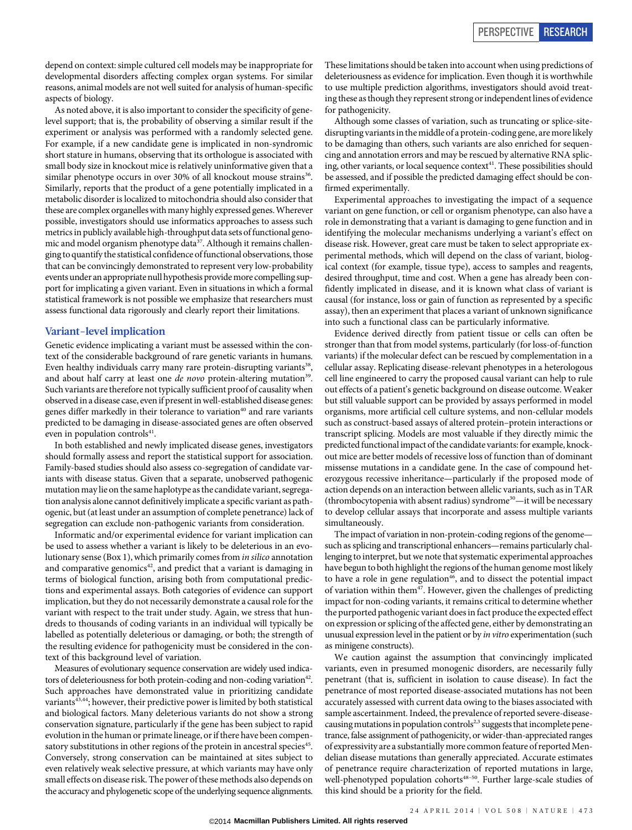depend on context: simple cultured cell models may be inappropriate for developmental disorders affecting complex organ systems. For similar reasons, animal models are not well suited for analysis of human-specific aspects of biology.

As noted above, it is also important to consider the specificity of genelevel support; that is, the probability of observing a similar result if the experiment or analysis was performed with a randomly selected gene. For example, if a new candidate gene is implicated in non-syndromic short stature in humans, observing that its orthologue is associated with small body size in knockout mice is relatively uninformative given that a similar phenotype occurs in over  $30\%$  of all knockout mouse strains<sup>36</sup>. Similarly, reports that the product of a gene potentially implicated in a metabolic disorder is localized to mitochondria should also consider that these are complex organelles with many highly expressed genes. Wherever possible, investigators should use informatics approaches to assess such metrics in publicly available high-throughput data sets of functional genomic and model organism phenotype data<sup>37</sup>. Although it remains challenging to quantify the statistical confidence of functional observations, those that can be convincingly demonstrated to represent very low-probability events under an appropriate null hypothesis provide more compelling support for implicating a given variant. Even in situations in which a formal statistical framework is not possible we emphasize that researchers must assess functional data rigorously and clearly report their limitations.

#### Variant-level implication

Genetic evidence implicating a variant must be assessed within the context of the considerable background of rare genetic variants in humans. Even healthy individuals carry many rare protein-disrupting variants<sup>38</sup>, and about half carry at least one *de novo* protein-altering mutation<sup>39</sup>. Such variants are therefore not typically sufficient proof of causality when observed in a disease case, even if present in well-established disease genes: genes differ markedly in their tolerance to variation<sup>40</sup> and rare variants predicted to be damaging in disease-associated genes are often observed even in population controls $41$ .

In both established and newly implicated disease genes, investigators should formally assess and report the statistical support for association. Family-based studies should also assess co-segregation of candidate variants with disease status. Given that a separate, unobserved pathogenic mutation may lie on the same haplotype as the candidate variant, segregation analysis alone cannot definitively implicate a specific variant as pathogenic, but (at least under an assumption of complete penetrance) lack of segregation can exclude non-pathogenic variants from consideration.

Informatic and/or experimental evidence for variant implication can be used to assess whether a variant is likely to be deleterious in an evolutionary sense (Box 1), which primarily comes from in silico annotation and comparative genomics<sup>42</sup>, and predict that a variant is damaging in terms of biological function, arising both from computational predictions and experimental assays. Both categories of evidence can support implication, but they do not necessarily demonstrate a causal role for the variant with respect to the trait under study. Again, we stress that hundreds to thousands of coding variants in an individual will typically be labelled as potentially deleterious or damaging, or both; the strength of the resulting evidence for pathogenicity must be considered in the context of this background level of variation.

Measures of evolutionary sequence conservation are widely used indicators of deleteriousness for both protein-coding and non-coding variation<sup>42</sup>. Such approaches have demonstrated value in prioritizing candidate variants<sup>43,44</sup>; however, their predictive power is limited by both statistical and biological factors. Many deleterious variants do not show a strong conservation signature, particularly if the gene has been subject to rapid evolution in the human or primate lineage, or if there have been compensatory substitutions in other regions of the protein in ancestral species<sup>45</sup>. Conversely, strong conservation can be maintained at sites subject to even relatively weak selective pressure, at which variants may have only small effects on disease risk. The power of these methods also depends on the accuracy and phylogenetic scope of the underlying sequence alignments.

These limitations should be taken into account when using predictions of deleteriousness as evidence for implication. Even though it is worthwhile to use multiple prediction algorithms, investigators should avoid treating these as though they represent strong or independent lines of evidence for pathogenicity.

Although some classes of variation, such as truncating or splice-sitedisrupting variants in the middle of a protein-coding gene, are more likely to be damaging than others, such variants are also enriched for sequencing and annotation errors and may be rescued by alternative RNA splicing, other variants, or local sequence context<sup>41</sup>. These possibilities should be assessed, and if possible the predicted damaging effect should be confirmed experimentally.

Experimental approaches to investigating the impact of a sequence variant on gene function, or cell or organism phenotype, can also have a role in demonstrating that a variant is damaging to gene function and in identifying the molecular mechanisms underlying a variant's effect on disease risk. However, great care must be taken to select appropriate experimental methods, which will depend on the class of variant, biological context (for example, tissue type), access to samples and reagents, desired throughput, time and cost. When a gene has already been confidently implicated in disease, and it is known what class of variant is causal (for instance, loss or gain of function as represented by a specific assay), then an experiment that places a variant of unknown significance into such a functional class can be particularly informative.

Evidence derived directly from patient tissue or cells can often be stronger than that from model systems, particularly (for loss-of-function variants) if the molecular defect can be rescued by complementation in a cellular assay. Replicating disease-relevant phenotypes in a heterologous cell line engineered to carry the proposed causal variant can help to rule out effects of a patient's genetic background on disease outcome. Weaker but still valuable support can be provided by assays performed in model organisms, more artificial cell culture systems, and non-cellular models such as construct-based assays of altered protein–protein interactions or transcript splicing. Models are most valuable if they directly mimic the predicted functional impact of the candidate variants: for example, knockout mice are better models of recessive loss of function than of dominant missense mutations in a candidate gene. In the case of compound heterozygous recessive inheritance—particularly if the proposed mode of action depends on an interaction between allelic variants, such as in TAR (thrombocytopenia with absent radius) syndrome<sup>30</sup>—it will be necessary to develop cellular assays that incorporate and assess multiple variants simultaneously.

The impact of variation in non-protein-coding regions of the genome such as splicing and transcriptional enhancers—remains particularly challenging to interpret, but we note that systematic experimental approaches have begun to both highlight the regions of the human genome most likely to have a role in gene regulation<sup>46</sup>, and to dissect the potential impact of variation within them<sup>47</sup>. However, given the challenges of predicting impact for non-coding variants, it remains critical to determine whether the purported pathogenic variant does in fact produce the expected effect on expression or splicing of the affected gene, either by demonstrating an unusual expression level in the patient or by in vitro experimentation (such as minigene constructs).

We caution against the assumption that convincingly implicated variants, even in presumed monogenic disorders, are necessarily fully penetrant (that is, sufficient in isolation to cause disease). In fact the penetrance of most reported disease-associated mutations has not been accurately assessed with current data owing to the biases associated with sample ascertainment. Indeed, the prevalence of reported severe-diseasecausing mutations in population controls<sup>2,3</sup> suggests that incomplete penetrance, false assignment of pathogenicity, or wider-than-appreciated ranges of expressivity are a substantially more common feature of reported Mendelian disease mutations than generally appreciated. Accurate estimates of penetrance require characterization of reported mutations in large, well-phenotyped population cohorts<sup>48-50</sup>. Further large-scale studies of this kind should be a priority for the field.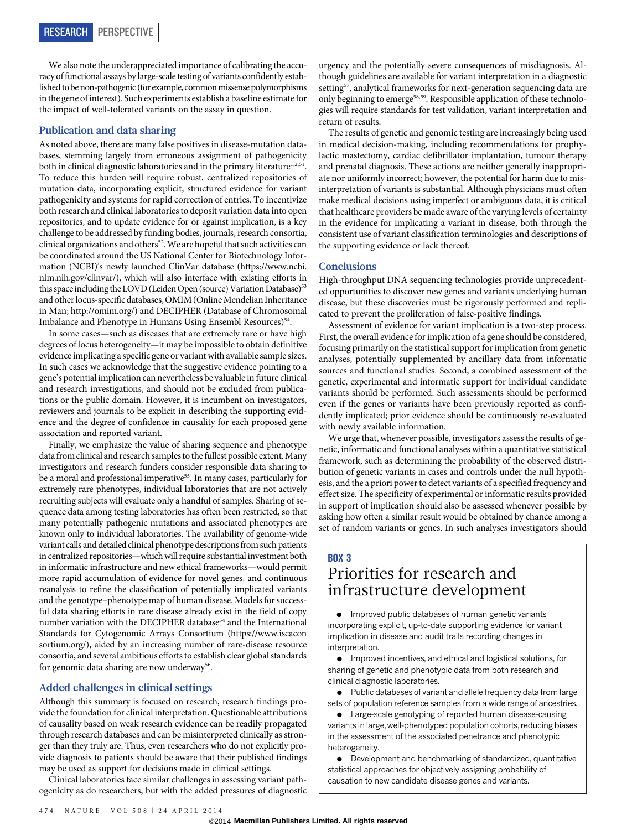We also note the underappreciated importance of calibrating the accuracy of functional assays by large-scale testing of variants confidently established to be non-pathogenic (for example, common missense polymorphisms in the gene of interest). Such experiments establish a baseline estimate for the impact of well-tolerated variants on the assay in question.

#### Publication and data sharing

As noted above, there are many false positives in disease-mutation databases, stemming largely from erroneous assignment of pathogenicity both in clinical diagnostic laboratories and in the primary literature<sup>1,2,51</sup>. To reduce this burden will require robust, centralized repositories of mutation data, incorporating explicit, structured evidence for variant pathogenicity and systems for rapid correction of entries. To incentivize both research and clinical laboratories to deposit variation data into open repositories, and to update evidence for or against implication, is a key challenge to be addressed by funding bodies, journals, research consortia, clinical organizations and others<sup>52</sup>. We are hopeful that such activities can be coordinated around the US National Center for Biotechnology Information (NCBI)'s newly launched ClinVar database [\(https://www.ncbi.](https://www.ncbi.nlm.nih.gov/clinvar) [nlm.nih.gov/clinvar/](https://www.ncbi.nlm.nih.gov/clinvar)), which will also interface with existing efforts in this space including the LOVD (Leiden Open (source) Variation Database)<sup>53</sup> and other locus-specific databases, OMIM (Online Mendelian Inheritance in Man; [http://omim.org/\)](http://omim.org) and DECIPHER (Database of Chromosomal Imbalance and Phenotype in Humans Using Ensembl Resources)<sup>54</sup>.

In some cases—such as diseases that are extremely rare or have high degrees of locus heterogeneity—it may be impossible to obtain definitive evidence implicating a specific gene or variant with available sample sizes. In such cases we acknowledge that the suggestive evidence pointing to a gene's potential implication can nevertheless be valuable in future clinical and research investigations, and should not be excluded from publications or the public domain. However, it is incumbent on investigators, reviewers and journals to be explicit in describing the supporting evidence and the degree of confidence in causality for each proposed gene association and reported variant.

Finally, we emphasize the value of sharing sequence and phenotype data from clinical and research samples to the fullest possible extent. Many investigators and research funders consider responsible data sharing to be a moral and professional imperative<sup>55</sup>. In many cases, particularly for extremely rare phenotypes, individual laboratories that are not actively recruiting subjects will evaluate only a handful of samples. Sharing of sequence data among testing laboratories has often been restricted, so that many potentially pathogenic mutations and associated phenotypes are known only to individual laboratories. The availability of genome-wide variant calls and detailed clinical phenotype descriptions from such patients in centralized repositories—whichwill require substantial investment both in informatic infrastructure and new ethical frameworks—would permit more rapid accumulation of evidence for novel genes, and continuous reanalysis to refine the classification of potentially implicated variants and the genotype–phenotype map of human disease. Models for successful data sharing efforts in rare disease already exist in the field of copy number variation with the DECIPHER database<sup>54</sup> and the International Standards for Cytogenomic Arrays Consortium ([https://www.iscacon](https://www.iscaconsortium.org) [sortium.org/](https://www.iscaconsortium.org)), aided by an increasing number of rare-disease resource consortia, and several ambitious efforts to establish clear global standards for genomic data sharing are now underway<sup>56</sup>.

#### Added challenges in clinical settings

Although this summary is focused on research, research findings provide the foundation for clinical interpretation. Questionable attributions of causality based on weak research evidence can be readily propagated through research databases and can be misinterpreted clinically as stronger than they truly are. Thus, even researchers who do not explicitly provide diagnosis to patients should be aware that their published findings may be used as support for decisions made in clinical settings.

Clinical laboratories face similar challenges in assessing variant pathogenicity as do researchers, but with the added pressures of diagnostic

urgency and the potentially severe consequences of misdiagnosis. Although guidelines are available for variant interpretation in a diagnostic setting<sup>57</sup>, analytical frameworks for next-generation sequencing data are only beginning to emerge<sup>58,59</sup>. Responsible application of these technologies will require standards for test validation, variant interpretation and return of results.

The results of genetic and genomic testing are increasingly being used in medical decision-making, including recommendations for prophylactic mastectomy, cardiac defibrillator implantation, tumour therapy and prenatal diagnosis. These actions are neither generally inappropriate nor uniformly incorrect; however, the potential for harm due to misinterpretation of variants is substantial. Although physicians must often make medical decisions using imperfect or ambiguous data, it is critical that healthcare providers be made aware of the varying levels of certainty in the evidence for implicating a variant in disease, both through the consistent use of variant classification terminologies and descriptions of the supporting evidence or lack thereof.

#### **Conclusions**

High-throughput DNA sequencing technologies provide unprecedented opportunities to discover new genes and variants underlying human disease, but these discoveries must be rigorously performed and replicated to prevent the proliferation of false-positive findings.

Assessment of evidence for variant implication is a two-step process. First, the overall evidence for implication of a gene should be considered, focusing primarily on the statistical support for implication from genetic analyses, potentially supplemented by ancillary data from informatic sources and functional studies. Second, a combined assessment of the genetic, experimental and informatic support for individual candidate variants should be performed. Such assessments should be performed even if the genes or variants have been previously reported as confidently implicated; prior evidence should be continuously re-evaluated with newly available information.

We urge that, whenever possible, investigators assess the results of genetic, informatic and functional analyses within a quantitative statistical framework, such as determining the probability of the observed distribution of genetic variants in cases and controls under the null hypothesis, and the a priori power to detect variants of a specified frequency and effect size. The specificity of experimental or informatic results provided in support of implication should also be assessed whenever possible by asking how often a similar result would be obtained by chance among a set of random variants or genes. In such analyses investigators should

## BOX 3 Priorities for research and infrastructure development

**•** Improved public databases of human genetic variants incorporating explicit, up-to-date supporting evidence for variant implication in disease and audit trails recording changes in interpretation.

 $\bullet$  Improved incentives, and ethical and logistical solutions, for sharing of genetic and phenotypic data from both research and clinical diagnostic laboratories.

 $\bullet$  Public databases of variant and allele frequency data from large sets of population reference samples from a wide range of ancestries.

• Large-scale genotyping of reported human disease-causing variants in large, well-phenotyped population cohorts, reducing biases in the assessment of the associated penetrance and phenotypic heterogeneity.

 $\bullet$  Development and benchmarking of standardized, quantitative statistical approaches for objectively assigning probability of causation to new candidate disease genes and variants.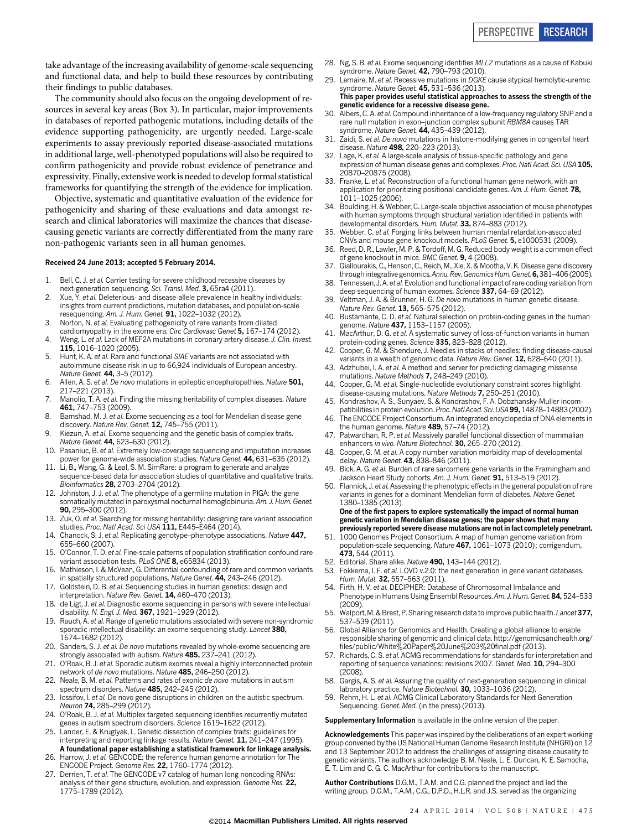take advantage of the increasing availability of genome-scale sequencing and functional data, and help to build these resources by contributing their findings to public databases.

The community should also focus on the ongoing development of resources in several key areas (Box 3). In particular, major improvements in databases of reported pathogenic mutations, including details of the evidence supporting pathogenicity, are urgently needed. Large-scale experiments to assay previously reported disease-associated mutations in additional large, well-phenotyped populations will also be required to confirm pathogenicity and provide robust evidence of penetrance and expressivity. Finally, extensive work is needed to develop formal statistical frameworks for quantifying the strength of the evidence for implication.

Objective, systematic and quantitative evaluation of the evidence for pathogenicity and sharing of these evaluations and data amongst research and clinical laboratories will maximize the chances that diseasecausing genetic variants are correctly differentiated from the many rare non-pathogenic variants seen in all human genomes.

#### Received 24 June 2013; accepted 5 February 2014.

- 1. Bell, C. J. et al. Carrier testing for severe childhood recessive diseases by next-generation sequencing. Sci. Transl. Med. 3, 65ra4 (2011).
- 2. Xue, Y. et al. Deleterious- and disease-allele prevalence in healthy individuals: insights from current predictions, mutation databases, and population-scale resequencing. Am. J. Hum. Genet. 91, 1022–1032 (2012).
- 3. Norton, N. et al. Evaluating pathogenicity of rare variants from dilated cardiomyopathy in the exome era. Circ Cardiovasc Genet 5, 167–174 (2012).
- 4. Weng, L. et al. Lack of MEF2A mutations in coronary artery disease. J. Clin. Invest. 115, 1016–1020 (2005).
- Hunt, K. A. et al. Rare and functional SIAE variants are not associated with autoimmune disease risk in up to 66,924 individuals of European ancestry. Nature Genet. 44, 3–5 (2012).
- 6. Allen, A. S. et al. De novo mutations in epileptic encephalopathies. Nature  $501$ , 217–221 (2013).
- 7. Manolio, T. A. et al. Finding the missing heritability of complex diseases. Nature 461, 747–753 (2009).
- 8. Bamshad, M. J. et al. Exome sequencing as a tool for Mendelian disease gene discovery. Nature Rev. Genet. 12, 745-755 (2011).
- 9. Kiezun, A. et al. Exome sequencing and the genetic basis of complex traits. Nature Genet. 44, 623–630 (2012).
- 10. Pasaniuc, B. et al. Extremely low-coverage sequencing and imputation increases power for genome-wide association studies. Nature Genet. 44, 631–635 (2012).
- 11. Li, B., Wang, G. & Leal, S. M. SimRare: a program to generate and analyze sequence-based data for association studies of quantitative and qualitative traits. Bioinformatics 28, 2703–2704 (2012).
- 12. Johnston, J. J. et al. The phenotype of a germline mutation in PIGA: the gene somatically mutated in paroxysmal nocturnal hemoglobinuria. Am. J. Hum. Genet. 90, 295–300 (2012).
- 13. Zuk, O. et al. Searching for missing heritability: designing rare variant association studies. Proc. Natl Acad. Sci USA 111, E445-E464 (2014).
- Chanock, S. J. et al. Replicating genotype–phenotype associations. Nature 447, 655–660 (2007).
- 15. O'Connor, T. D. et al. Fine-scale patterns of population stratification confound rare variant association tests. PLoS ONE 8, e65834 (2013).
- Mathieson, I. & McVean, G. Differential confounding of rare and common variants in spatially structured populations. Nature Genet. 44, 243-246 (2012).
- 17. Goldstein, D. B. et al. Sequencing studies in human genetics: design and interpretation. Nature Rev. Genet. 14, 460–470 (2013).
- 18. de Ligt, J. et al. Diagnostic exome sequencing in persons with severe intellectual disability. N. Engl. J. Med. 367, 1921–1929 (2012).
- 19. Rauch, A. et al. Range of genetic mutations associated with severe non-syndromic sporadic intellectual disability: an exome sequencing study. Lancet 380, 1674–1682 (2012).
- 20. Sanders, S. J. et al. De novo mutations revealed by whole-exome sequencing are strongly associated with autism. Nature 485, 237-241 (2012).
- 21. O'Roak, B. J. et al. Sporadic autism exomes reveal a highly interconnected protein network of de novo mutations. Nature 485, 246–250 (2012).
- Neale, B. M. et al. Patterns and rates of exonic de novo mutations in autism spectrum disorders. Nature 485, 242–245 (2012).
- 23. lossifov, I. et al. De novo gene disruptions in children on the autistic spectrum. Neuron 74, 285-299 (2012).
- 24. O'Roak, B. J. et al. Multiplex targeted sequencing identifies recurrently mutated genes in autism spectrum disorders. Science 1619–1622 (2012).
- 25. Lander, E. & Kruglyak, L. Genetic dissection of complex traits: guidelines for interpreting and reporting linkage results. Nature Genet. 11, 241-247 (1995). A foundational paper establishing a statistical framework for linkage analysis.
- Harrow, J. et al. GENCODE: the reference human genome annotation for The ENCODE Project. Genome Res. 22, 1760–1774 (2012).
- 27. Derrien, T. et al. The GENCODE v7 catalog of human long noncoding RNAs: analysis of their gene structure, evolution, and expression. Genome Res. 22, 1775–1789 (2012).
- 28. Ng, S. B. et al. Exome sequencing identifies MLL2 mutations as a cause of Kabuki syndrome. Nature Genet. 42, 790-793 (2010).
- 29. Lemaire, M. et al. Recessive mutations in DGKE cause atypical hemolytic-uremic syndrome. Nature Genet. **45**, 531-536 (2013).
- This paper provides useful statistical approaches to assess the strength of the genetic evidence for a recessive disease gene.<br>30. Albers, C. A. et al. Compound inheritance of a low-frequency regulatory SNP and a
- rare null mutation in exon–junction complex subunit RBM8A causes TAR syndrome. Nature Genet. 44, 435-439 (2012).
- 31. Zaidi, S. et al. De novo mutations in histone-modifying genes in congenital heart disease. Nature 498, 220–223 (2013).
- 32. Lage, K. et al. A large-scale analysis of tissue-specific pathology and gene expression of human disease genes and complexes. Proc. Natl Acad. Sci. USA 105, 20870–20875 (2008).
- 33. Franke, L. et al. Reconstruction of a functional human gene network, with an application for prioritizing positional candidate genes. Am. J. Hum. Genet. 78, 1011–1025 (2006).
- 34. Boulding, H. & Webber, C. Large-scale objective association of mouse phenotypes with human symptoms through structural variation identified in patients with developmental disorders. Hum. Mutat. 33, 874–883 (2012).
- 35. Webber, C. et al. Forging links between human mental retardation-associated CNVs and mouse gene knockout models. PLoS Genet. 5, e1000531 (2009).
- 36. Reed, D. R., Lawler, M. P. & Tordoff, M. G. Reduced body weight is a common effect of gene knockout in mice. BMC Genet. 9, 4 (2008).
- 37. Giallourakis, C., Henson, C., Reich, M., Xie, X. & Mootha, V. K. Disease gene discovery through integrative genomics.Annu.Rev. Genomics Hum. Genet.6,381–406 (2005).
- 38. Tennessen, J. A. et al. Evolution and functional impact of rare coding variation from deep sequencing of human exomes. Science 337, 64–69 (2012).
- 39. Veltman, J. A. & Brunner, H. G. De novo mutations in human genetic disease. Nature Rev. Genet. 13, 565–575 (2012).
- 40. Bustamante, C. D. et al. Natural selection on protein-coding genes in the human genome. Nature 437, 1153-1157 (2005).
- 41. MacArthur, D. G. et al. A systematic survey of loss-of-function variants in human protein-coding genes. Science 335, 823-828 (2012).
- 42. Cooper, G. M. & Shendure, J. Needles in stacks of needles: finding disease-causal variants in a wealth of genomic data. Nature Rev. Genet. 12, 628-640 (2011).
- 43. Adzhubei, I. A. et al. A method and server for predicting damaging missense mutations. Nature Methods 7, 248–249 (2010).
- 44. Cooper, G. M. et al. Single-nucleotide evolutionary constraint scores highlight disease-causing mutations. Nature Methods 7, 250–251 (2010).
- 45. Kondrashov, A. S., Sunyaev, S. & Kondrashov, F. A. Dobzhansky-Muller incompatibilities in protein evolution. Proc. Natl Acad. Sci. USA 99, 14878-14883 (2002).
- 46. The ENCODE Project Consortium. An integrated encyclopedia of DNA elements in the human genome. Nature 489, 57–74 (2012).
- 47. Patwardhan, R. P. et al. Massively parallel functional dissection of mammalian enhancers in vivo. Nature Biotechnol. 30, 265-270 (2012).
- 48. Cooper, G. M. et al. A copy number variation morbidity map of developmental delay. Nature Genet. 43, 838–846 (2011).
- 49. Bick, A. G. et al. Burden of rare sarcomere gene variants in the Framingham and Jackson Heart Study cohorts. Am. J. Hum. Genet. 91, 513-519 (2012).
- 50. Flannick, J. et al. Assessing the phenotypic effects in the general population of rare variants in genes for a dominant Mendelian form of diabetes. Nature Genet. 1380–1385 (2013).

One of the first papers to explore systematically the impact of normal human genetic variation in Mendelian disease genes; the paper shows that many previously reported severe disease mutations are not in fact completely penetrant.

- 51. 1000 Genomes Project Consortium. A map of human genome variation from population-scale sequencing. Nature 467, 1061–1073 (2010); corrigendum, 473, 544 (2011).
- 52. Editorial. Share alike. Nature 490, 143–144 (2012).
- 53. Fokkema, I. F. et al. LOVD v.2.0: the next generation in gene variant databases. Hum. Mutat. **32,** 557–563 (2011).
- 54. Firth, H. V. et al. DECIPHER: Database of Chromosomal Imbalance and Phenotype in Humans Using Ensembl Resources. Am. J. Hum. Genet. 84, 524-533 (2009).
- 55. Walport, M. & Brest, P. Sharing research data to improve public health. Lancet 377, 537–539 (2011).
- 56. Global Alliance for Genomics and Health. Creating a global alliance to enable responsible sharing of genomic and clinical data. [http://genomicsandhealth.org/](http://genomicsandhealth.org/files/public/White%20Paper%20June%203%20final.pdf) [files/public/White%20Paper%20June%203%20final.pdf](http://genomicsandhealth.org/files/public/White%20Paper%20June%203%20final.pdf) (2013).
- 57. Richards, C. S. et al. ACMG recommendations for standards for interpretation and reporting of sequence variations: revisions 2007. Genet. Med. 10, 294–300 (2008).
- 58. Gargis, A. S. et al. Assuring the quality of next-generation sequencing in clinical laboratory practice. Nature Biotechnol. 30, 1033-1036 (2012).
- 59. Rehm, H. L. et al. ACMG Clinical Laboratory Standards for Next Generation Sequencing. Genet. Med. (in the press) (2013).

Supplementary Information is available in the [online version of the paper](www.nature.com/doifinder/10.1038/nature13127).

Acknowledgements This paper was inspired by the deliberations of an expert working group convened by the US National Human Genome Research Institute (NHGRI) on 12 and 13 September 2012 to address the challenges of assigning disease causality to genetic variants. The authors acknowledge B. M. Neale, L. E. Duncan, K. E. Samocha, E. T. Lim and C. G. C. MacArthur for contributions to the manuscript.

Author Contributions D.G.M., T.A.M. and C.G. planned the project and led the writing group. D.G.M., T.A.M., C.G., D.P.D., H.L.R. and J.S. served as the organizing